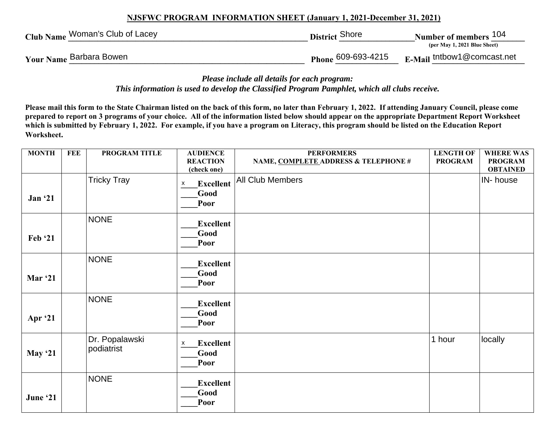## **NJSFWC PROGRAM INFORMATION SHEET (January 1, 2021-December 31, 2021)**

| Club Name Woman's Club of Lacey | District Shore     | Number of members <sup>104</sup><br>(per May 1, 2021 Blue Sheet) |
|---------------------------------|--------------------|------------------------------------------------------------------|
| Your Name Barbara Bowen         | Phone 609-693-4215 | $E$ -Mail tntbow1@comcast.net                                    |

*Please include all details for each program: This information is used to develop the Classified Program Pamphlet, which all clubs receive.* 

**Please mail this form to the State Chairman listed on the back of this form, no later than February 1, 2022. If attending January Council, please come prepared to report on 3 programs of your choice. All of the information listed below should appear on the appropriate Department Report Worksheet which is submitted by February 1, 2022. For example, if you have a program on Literacy, this program should be listed on the Education Report Worksheet.** 

| <b>MONTH</b>   | <b>FEE</b> | PROGRAM TITLE                | <b>AUDIENCE</b>                       | <b>PERFORMERS</b>                    | <b>LENGTH OF</b> | <b>WHERE WAS</b> |
|----------------|------------|------------------------------|---------------------------------------|--------------------------------------|------------------|------------------|
|                |            |                              | <b>REACTION</b>                       | NAME, COMPLETE ADDRESS & TELEPHONE # | <b>PROGRAM</b>   | <b>PROGRAM</b>   |
|                |            |                              | (check one)                           |                                      |                  | <b>OBTAINED</b>  |
|                |            | <b>Tricky Tray</b>           | <b>Excellent</b><br>X                 | All Club Members                     |                  | IN-house         |
| Jan '21        |            |                              | Good<br>Poor                          |                                      |                  |                  |
|                |            | <b>NONE</b>                  | <b>Excellent</b><br>Good              |                                      |                  |                  |
| Feb '21        |            |                              | Poor                                  |                                      |                  |                  |
|                |            | <b>NONE</b>                  | <b>Excellent</b>                      |                                      |                  |                  |
| <b>Mar '21</b> |            |                              | Good<br>Poor                          |                                      |                  |                  |
| Apr '21        |            | <b>NONE</b>                  | <b>Excellent</b><br>Good<br>Poor      |                                      |                  |                  |
| May $21$       |            | Dr. Popalawski<br>podiatrist | <b>Excellent</b><br>X<br>Good<br>Poor |                                      | 1 hour           | locally          |
| June '21       |            | <b>NONE</b>                  | <b>Excellent</b><br>Good<br>Poor      |                                      |                  |                  |